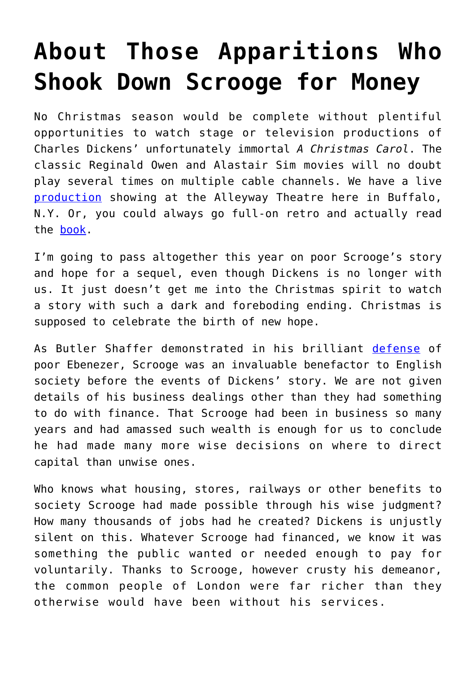## **[About Those Apparitions Who](https://intellectualtakeout.org/2016/12/about-those-apparitions-who-shook-down-scrooge-for-money/) [Shook Down Scrooge for Money](https://intellectualtakeout.org/2016/12/about-those-apparitions-who-shook-down-scrooge-for-money/)**

No Christmas season would be complete without plentiful opportunities to watch stage or television productions of Charles Dickens' unfortunately immortal *A Christmas Carol*. The classic Reginald Owen and Alastair Sim movies will no doubt play several times on multiple cable channels. We have a live [production](http://alleyway.com/?page_id=13) showing at the Alleyway Theatre here in Buffalo, N.Y. Or, you could always go full-on retro and actually read the [book.](https://www.amazon.com/Christmas-Carol-Original-Illustrations-Color/dp/1936830884/ref=as_sl_pc_qf_sp_asin_til?tag=tomusbl-20&linkCode=w00&linkId=631a4e922a287a48aa87a775fdcbe276&creativeASIN=1936830884)

I'm going to pass altogether this year on poor Scrooge's story and hope for a sequel, even though Dickens is no longer with us. It just doesn't get me into the Christmas spirit to watch a story with such a dark and foreboding ending. Christmas is supposed to celebrate the birth of new hope.

As Butler Shaffer demonstrated in his brilliant [defense](https://www.lewrockwell.com/2013/12/butler-shaffer/the-case-for-ebenezer/) of poor Ebenezer, Scrooge was an invaluable benefactor to English society before the events of Dickens' story. We are not given details of his business dealings other than they had something to do with finance. That Scrooge had been in business so many years and had amassed such wealth is enough for us to conclude he had made many more wise decisions on where to direct capital than unwise ones.

Who knows what housing, stores, railways or other benefits to society Scrooge had made possible through his wise judgment? How many thousands of jobs had he created? Dickens is unjustly silent on this. Whatever Scrooge had financed, we know it was something the public wanted or needed enough to pay for voluntarily. Thanks to Scrooge, however crusty his demeanor, the common people of London were far richer than they otherwise would have been without his services.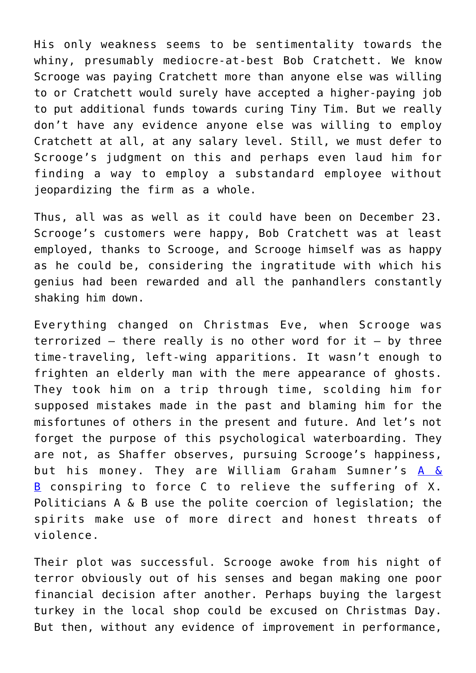His only weakness seems to be sentimentality towards the whiny, presumably mediocre-at-best Bob Cratchett. We know Scrooge was paying Cratchett more than anyone else was willing to or Cratchett would surely have accepted a higher-paying job to put additional funds towards curing Tiny Tim. But we really don't have any evidence anyone else was willing to employ Cratchett at all, at any salary level. Still, we must defer to Scrooge's judgment on this and perhaps even laud him for finding a way to employ a substandard employee without jeopardizing the firm as a whole.

Thus, all was as well as it could have been on December 23. Scrooge's customers were happy, Bob Cratchett was at least employed, thanks to Scrooge, and Scrooge himself was as happy as he could be, considering the ingratitude with which his genius had been rewarded and all the panhandlers constantly shaking him down.

Everything changed on Christmas Eve, when Scrooge was terrorized  $-$  there really is no other word for it  $-$  by three time-traveling, left-wing apparitions. It wasn't enough to frighten an elderly man with the mere appearance of ghosts. They took him on a trip through time, scolding him for supposed mistakes made in the past and blaming him for the misfortunes of others in the present and future. And let's not forget the purpose of this psychological waterboarding. They are not, as Shaffer observes, pursuing Scrooge's happiness, but his money. They are William Graham Sumner's  $A \&$ [B](http://www.swarthmore.edu/SocSci/rbannis1/AIH19th/Sumner.Forgotten.html) conspiring to force  $C$  to relieve the suffering of X. Politicians A & B use the polite coercion of legislation; the spirits make use of more direct and honest threats of violence.

Their plot was successful. Scrooge awoke from his night of terror obviously out of his senses and began making one poor financial decision after another. Perhaps buying the largest turkey in the local shop could be excused on Christmas Day. But then, without any evidence of improvement in performance,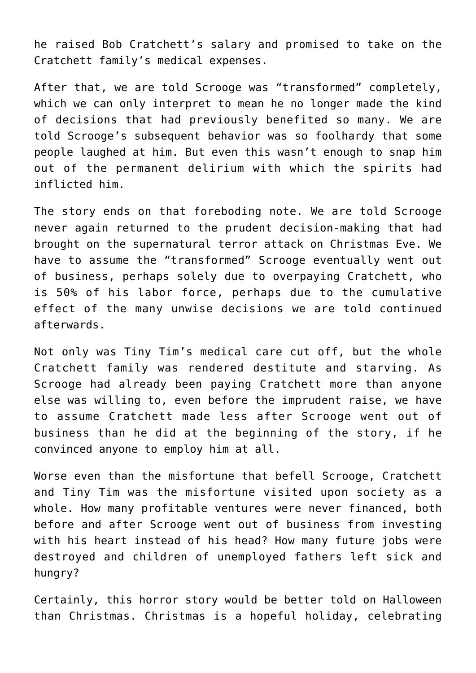he raised Bob Cratchett's salary and promised to take on the Cratchett family's medical expenses.

After that, we are told Scrooge was "transformed" completely, which we can only interpret to mean he no longer made the kind of decisions that had previously benefited so many. We are told Scrooge's subsequent behavior was so foolhardy that some people laughed at him. But even this wasn't enough to snap him out of the permanent delirium with which the spirits had inflicted him.

The story ends on that foreboding note. We are told Scrooge never again returned to the prudent decision-making that had brought on the supernatural terror attack on Christmas Eve. We have to assume the "transformed" Scrooge eventually went out of business, perhaps solely due to overpaying Cratchett, who is 50% of his labor force, perhaps due to the cumulative effect of the many unwise decisions we are told continued afterwards.

Not only was Tiny Tim's medical care cut off, but the whole Cratchett family was rendered destitute and starving. As Scrooge had already been paying Cratchett more than anyone else was willing to, even before the imprudent raise, we have to assume Cratchett made less after Scrooge went out of business than he did at the beginning of the story, if he convinced anyone to employ him at all.

Worse even than the misfortune that befell Scrooge, Cratchett and Tiny Tim was the misfortune visited upon society as a whole. How many profitable ventures were never financed, both before and after Scrooge went out of business from investing with his heart instead of his head? How many future jobs were destroyed and children of unemployed fathers left sick and hungry?

Certainly, this horror story would be better told on Halloween than Christmas. Christmas is a hopeful holiday, celebrating